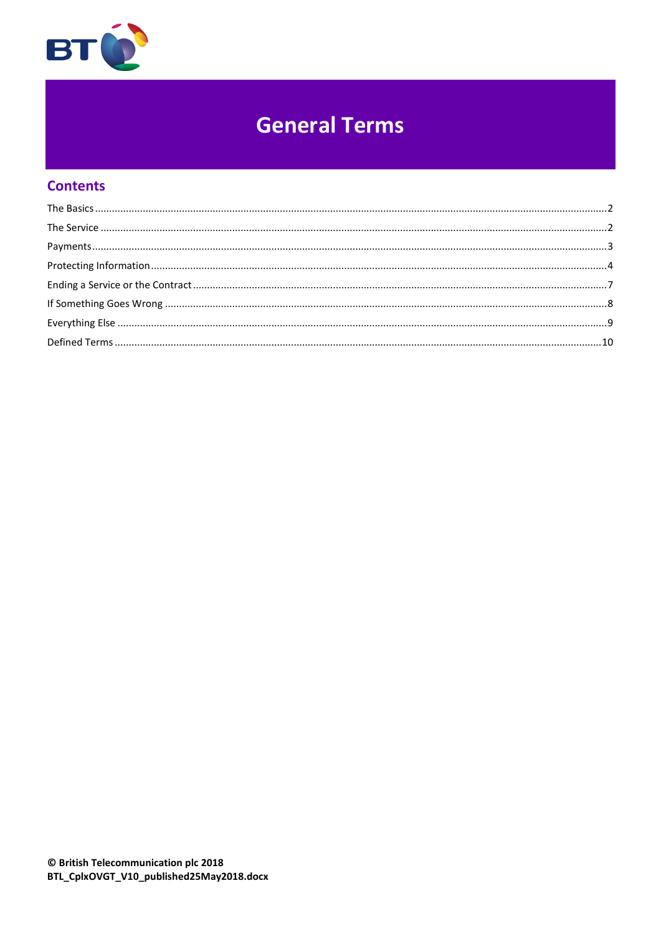

# **General Terms**

# **Contents**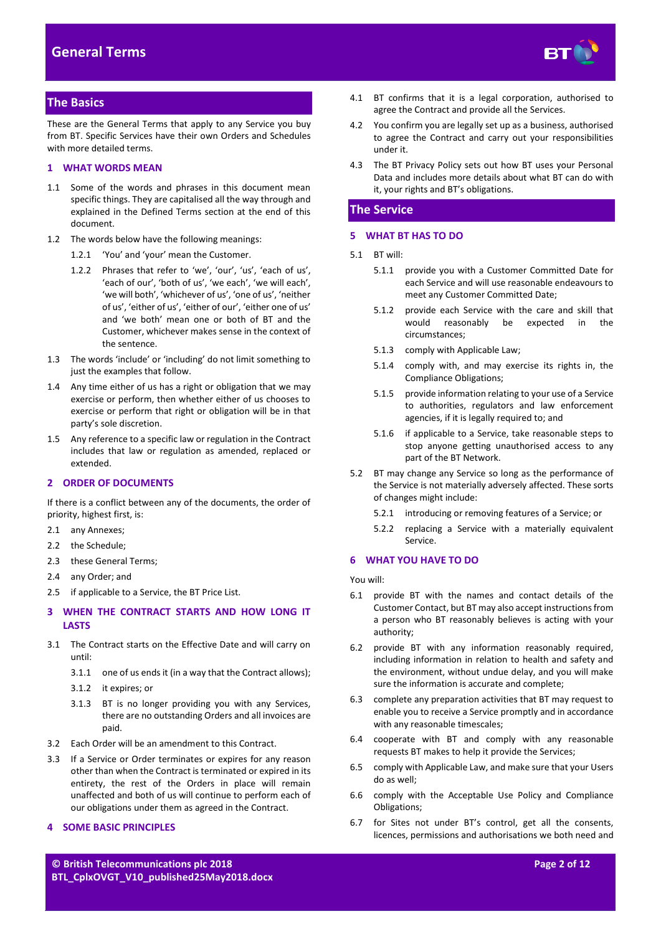

# <span id="page-1-0"></span>**The Basics**

These are the General Terms that apply to any Service you buy from BT. Specific Services have their own Orders and Schedules with more detailed terms.

#### **1 WHAT WORDS MEAN**

- 1.1 Some of the words and phrases in this document mean specific things. They are capitalised all the way through and explained in the Defined Terms section at the end of this document.
- 1.2 The words below have the following meanings:
	- 1.2.1 'You' and 'your' mean the Customer.
	- 1.2.2 Phrases that refer to 'we', 'our', 'us', 'each of us', 'each of our', 'both of us', 'we each', 'we will each', 'we will both', 'whichever of us', 'one of us', 'neither of us', 'either of us', 'either of our', 'either one of us' and 'we both' mean one or both of BT and the Customer, whichever makes sense in the context of the sentence.
- 1.3 The words 'include' or 'including' do not limit something to just the examples that follow.
- 1.4 Any time either of us has a right or obligation that we may exercise or perform, then whether either of us chooses to exercise or perform that right or obligation will be in that party's sole discretion.
- 1.5 Any reference to a specific law or regulation in the Contract includes that law or regulation as amended, replaced or extended.

# <span id="page-1-4"></span>**2 ORDER OF DOCUMENTS**

If there is a conflict between any of the documents, the order of priority, highest first, is:

- 2.1 any Annexes;
- 2.2 the Schedule;
- 2.3 these General Terms;
- 2.4 any Order; and
- 2.5 if applicable to a Service, the BT Price List.

# **3 WHEN THE CONTRACT STARTS AND HOW LONG IT LASTS**

- 3.1 The Contract starts on the Effective Date and will carry on until:
	- 3.1.1 one of us ends it (in a way that the Contract allows);
	- 3.1.2 it expires; or
	- 3.1.3 BT is no longer providing you with any Services, there are no outstanding Orders and all invoices are paid.
- 3.2 Each Order will be an amendment to this Contract.
- 3.3 If a Service or Order terminates or expires for any reason other than when the Contract is terminated or expired in its entirety, the rest of the Orders in place will remain unaffected and both of us will continue to perform each of our obligations under them as agreed in the Contract.

#### **4 SOME BASIC PRINCIPLES**

4.1 BT confirms that it is a legal corporation, authorised to agree the Contract and provide all the Services.

- 4.2 You confirm you are legally set up as a business, authorised to agree the Contract and carry out your responsibilities under it.
- 4.3 The BT Privacy Policy sets out how BT uses your Personal Data and includes more details about what BT can do with it, your rights and BT's obligations.

# <span id="page-1-1"></span>**The Service**

# **5 WHAT BT HAS TO DO**

- 5.1 BT will:
	- 5.1.1 provide you with a Customer Committed Date for each Service and will use reasonable endeavours to meet any Customer Committed Date;
	- 5.1.2 provide each Service with the care and skill that would reasonably be expected in the circumstances;
	- 5.1.3 comply with Applicable Law;
	- 5.1.4 comply with, and may exercise its rights in, the Compliance Obligations;
	- 5.1.5 provide information relating to your use of a Service to authorities, regulators and law enforcement agencies, if it is legally required to; and
	- 5.1.6 if applicable to a Service, take reasonable steps to stop anyone getting unauthorised access to any part of the BT Network.
- <span id="page-1-3"></span><span id="page-1-2"></span>5.2 BT may change any Service so long as the performance of the Service is not materially adversely affected. These sorts of changes might include:
	- 5.2.1 introducing or removing features of a Service; or
	- 5.2.2 replacing a Service with a materially equivalent Service.

#### **6 WHAT YOU HAVE TO DO**

You will:

- 6.1 provide BT with the names and contact details of the Customer Contact, but BT may also accept instructions from a person who BT reasonably believes is acting with your authority;
- 6.2 provide BT with any information reasonably required, including information in relation to health and safety and the environment, without undue delay, and you will make sure the information is accurate and complete;
- 6.3 complete any preparation activities that BT may request to enable you to receive a Service promptly and in accordance with any reasonable timescales;
- 6.4 cooperate with BT and comply with any reasonable requests BT makes to help it provide the Services;
- 6.5 comply with Applicable Law, and make sure that your Users do as well;
- 6.6 comply with the Acceptable Use Policy and Compliance Obligations;
- 6.7 for Sites not under BT's control, get all the consents, licences, permissions and authorisations we both need and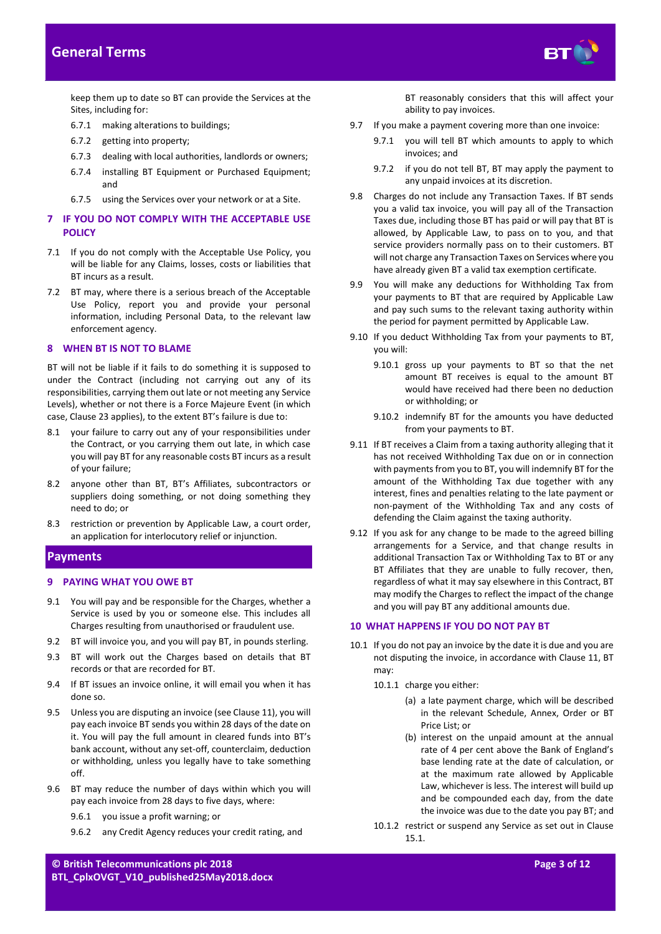

keep them up to date so BT can provide the Services at the Sites, including for:

- 6.7.1 making alterations to buildings;
- 6.7.2 getting into property;
- 6.7.3 dealing with local authorities, landlords or owners;
- 6.7.4 installing BT Equipment or Purchased Equipment; and
- 6.7.5 using the Services over your network or at a Site.

#### **7 IF YOU DO NOT COMPLY WITH THE ACCEPTABLE USE POLICY**

- 7.1 If you do not comply with the Acceptable Use Policy, you will be liable for any Claims, losses, costs or liabilities that BT incurs as a result.
- 7.2 BT may, where there is a serious breach of the Acceptable Use Policy, report you and provide your personal information, including Personal Data, to the relevant law enforcement agency.

#### **8 WHEN BT IS NOT TO BLAME**

BT will not be liable if it fails to do something it is supposed to under the Contract (including not carrying out any of its responsibilities, carrying them out late or not meeting any Service Levels), whether or not there is a Force Majeure Event (in which case, Clause [23](#page-7-1) applies), to the extent BT's failure is due to:

- 8.1 your failure to carry out any of your responsibilities under the Contract, or you carrying them out late, in which case you will pay BT for any reasonable costs BT incurs as a result of your failure;
- 8.2 anyone other than BT, BT's Affiliates, subcontractors or suppliers doing something, or not doing something they need to do; or
- 8.3 restriction or prevention by Applicable Law, a court order, an application for interlocutory relief or injunction.

# <span id="page-2-0"></span>**Payments**

#### **9 PAYING WHAT YOU OWE BT**

- 9.1 You will pay and be responsible for the Charges, whether a Service is used by you or someone else. This includes all Charges resulting from unauthorised or fraudulent use.
- 9.2 BT will invoice you, and you will pay BT, in pounds sterling.
- 9.3 BT will work out the Charges based on details that BT records or that are recorded for BT.
- 9.4 If BT issues an invoice online, it will email you when it has done so.
- <span id="page-2-1"></span>9.5 Unless you are disputing an invoice (see Claus[e 11\)](#page-3-1), you will pay each invoice BT sends you within 28 days of the date on it. You will pay the full amount in cleared funds into BT's bank account, without any set-off, counterclaim, deduction or withholding, unless you legally have to take something off.
- 9.6 BT may reduce the number of days within which you will pay each invoice from 28 days to five days, where:
	- 9.6.1 you issue a profit warning; or
	- 9.6.2 any Credit Agency reduces your credit rating, and

BT reasonably considers that this will affect your ability to pay invoices.

- 9.7 If you make a payment covering more than one invoice:
	- 9.7.1 you will tell BT which amounts to apply to which invoices; and
	- 9.7.2 if you do not tell BT, BT may apply the payment to any unpaid invoices at its discretion.
- 9.8 Charges do not include any Transaction Taxes. If BT sends you a valid tax invoice, you will pay all of the Transaction Taxes due, including those BT has paid or will pay that BT is allowed, by Applicable Law, to pass on to you, and that service providers normally pass on to their customers. BT will not charge any Transaction Taxes on Services where you have already given BT a valid tax exemption certificate.
- 9.9 You will make any deductions for Withholding Tax from your payments to BT that are required by Applicable Law and pay such sums to the relevant taxing authority within the period for payment permitted by Applicable Law.
- 9.10 If you deduct Withholding Tax from your payments to BT, you will:
	- 9.10.1 gross up your payments to BT so that the net amount BT receives is equal to the amount BT would have received had there been no deduction or withholding; or
	- 9.10.2 indemnify BT for the amounts you have deducted from your payments to BT.
- 9.11 If BT receives a Claim from a taxing authority alleging that it has not received Withholding Tax due on or in connection with payments from you to BT, you will indemnify BT for the amount of the Withholding Tax due together with any interest, fines and penalties relating to the late payment or non-payment of the Withholding Tax and any costs of defending the Claim against the taxing authority.
- 9.12 If you ask for any change to be made to the agreed billing arrangements for a Service, and that change results in additional Transaction Tax or Withholding Tax to BT or any BT Affiliates that they are unable to fully recover, then, regardless of what it may say elsewhere in this Contract, BT may modify the Charges to reflect the impact of the change and you will pay BT any additional amounts due.

# **10 WHAT HAPPENS IF YOU DO NOT PAY BT**

- <span id="page-2-3"></span><span id="page-2-2"></span>10.1 If you do not pay an invoice by the date it is due and you are not disputing the invoice, in accordance with Clause [11,](#page-3-1) BT may:
	- 10.1.1 charge you either:
		- (a) a late payment charge, which will be described in the relevant Schedule, Annex, Order or BT Price List; or
		- (b) interest on the unpaid amount at the annual rate of 4 per cent above the Bank of England's base lending rate at the date of calculation, or at the maximum rate allowed by Applicable Law, whichever is less. The interest will build up and be compounded each day, from the date the invoice was due to the date you pay BT; and
	- 10.1.2 restrict or suspend any Service as set out in Clause [15.1.](#page-6-1)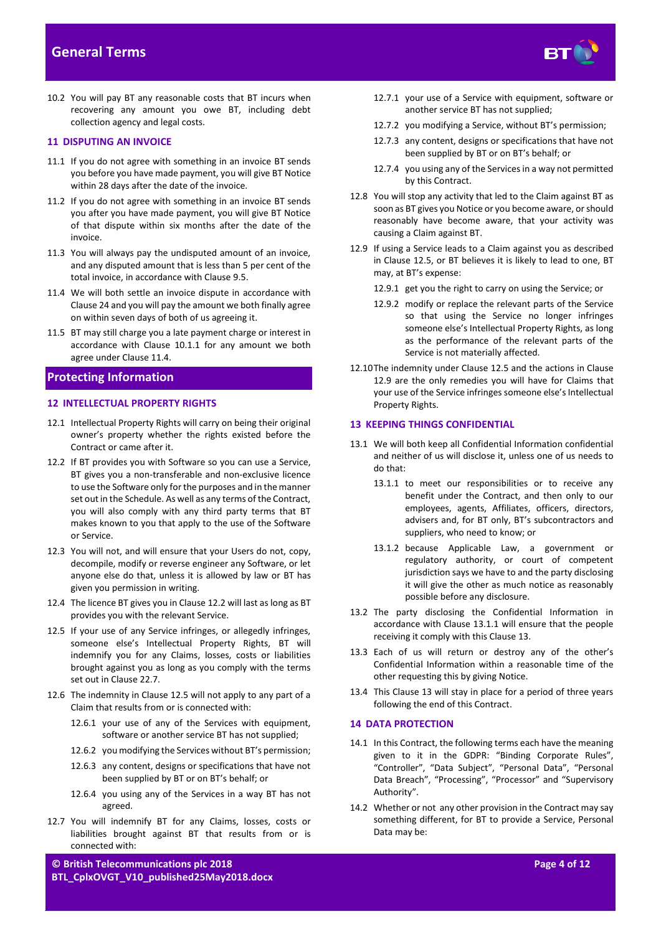

10.2 You will pay BT any reasonable costs that BT incurs when recovering any amount you owe BT, including debt collection agency and legal costs.

#### <span id="page-3-1"></span>**11 DISPUTING AN INVOICE**

- 11.1 If you do not agree with something in an invoice BT sends you before you have made payment, you will give BT Notice within 28 days after the date of the invoice.
- 11.2 If you do not agree with something in an invoice BT sends you after you have made payment, you will give BT Notice of that dispute within six months after the date of the invoice.
- 11.3 You will always pay the undisputed amount of an invoice, and any disputed amount that is less than 5 per cent of the total invoice, in accordance with Claus[e 9.5.](#page-2-1)
- <span id="page-3-2"></span>11.4 We will both settle an invoice dispute in accordance with Claus[e 24](#page-7-2) and you will pay the amount we both finally agree on within seven days of both of us agreeing it.
- 11.5 BT may still charge you a late payment charge or interest in accordance with Clause [10.1.1](#page-2-2) for any amount we both agree under Claus[e 11.4.](#page-3-2)

# <span id="page-3-0"></span>**Protecting Information**

#### **12 INTELLECTUAL PROPERTY RIGHTS**

- 12.1 Intellectual Property Rights will carry on being their original owner's property whether the rights existed before the Contract or came after it.
- <span id="page-3-3"></span>12.2 If BT provides you with Software so you can use a Service, BT gives you a non-transferable and non-exclusive licence to use the Software only for the purposes and in the manner set out in the Schedule. As well as any terms of the Contract, you will also comply with any third party terms that BT makes known to you that apply to the use of the Software or Service.
- 12.3 You will not, and will ensure that your Users do not, copy, decompile, modify or reverse engineer any Software, or let anyone else do that, unless it is allowed by law or BT has given you permission in writing.
- 12.4 The licence BT gives you in Claus[e 12.2](#page-3-3) will last as long as BT provides you with the relevant Service.
- <span id="page-3-4"></span>12.5 If your use of any Service infringes, or allegedly infringes, someone else's Intellectual Property Rights, BT will indemnify you for any Claims, losses, costs or liabilities brought against you as long as you comply with the terms set out in Claus[e 22.7.](#page-7-3)
- 12.6 The indemnity in Clause [12.5](#page-3-4) will not apply to any part of a Claim that results from or is connected with:
	- 12.6.1 your use of any of the Services with equipment, software or another service BT has not supplied;
	- 12.6.2 you modifying the Services without BT's permission;
	- 12.6.3 any content, designs or specifications that have not been supplied by BT or on BT's behalf; or
	- 12.6.4 you using any of the Services in a way BT has not agreed.
- 12.7 You will indemnify BT for any Claims, losses, costs or liabilities brought against BT that results from or is connected with:
- 12.7.1 your use of a Service with equipment, software or another service BT has not supplied;
- 12.7.2 you modifying a Service, without BT's permission;
- 12.7.3 any content, designs or specifications that have not been supplied by BT or on BT's behalf; or
- 12.7.4 you using any of the Services in a way not permitted by this Contract.
- 12.8 You will stop any activity that led to the Claim against BT as soon as BT gives you Notice or you become aware, or should reasonably have become aware, that your activity was causing a Claim against BT.
- <span id="page-3-5"></span>12.9 If using a Service leads to a Claim against you as described in Clause [12.5,](#page-3-4) or BT believes it is likely to lead to one, BT may, at BT's expense:
	- 12.9.1 get you the right to carry on using the Service; or
	- 12.9.2 modify or replace the relevant parts of the Service so that using the Service no longer infringes someone else's Intellectual Property Rights, as long as the performance of the relevant parts of the Service is not materially affected.
- 12.10The indemnity under Clause [12.5](#page-3-4) and the actions in Clause [12.9](#page-3-5) are the only remedies you will have for Claims that your use of the Service infringes someone else's Intellectual Property Rights.

# <span id="page-3-7"></span>**13 KEEPING THINGS CONFIDENTIAL**

- <span id="page-3-6"></span>13.1 We will both keep all Confidential Information confidential and neither of us will disclose it, unless one of us needs to do that:
	- 13.1.1 to meet our responsibilities or to receive any benefit under the Contract, and then only to our employees, agents, Affiliates, officers, directors, advisers and, for BT only, BT's subcontractors and suppliers, who need to know; or
	- 13.1.2 because Applicable Law, a government or regulatory authority, or court of competent jurisdiction says we have to and the party disclosing it will give the other as much notice as reasonably possible before any disclosure.
- 13.2 The party disclosing the Confidential Information in accordance with Clause [13.1.1](#page-3-6) will ensure that the people receiving it comply with this Clause [13.](#page-3-7)
- 13.3 Each of us will return or destroy any of the other's Confidential Information within a reasonable time of the other requesting this by giving Notice.
- 13.4 This Clause [13](#page-3-7) will stay in place for a period of three years following the end of this Contract.

#### **14 DATA PROTECTION**

- 14.1 In this Contract, the following terms each have the meaning given to it in the GDPR: "Binding Corporate Rules", "Controller", "Data Subject", "Personal Data", "Personal Data Breach", "Processing", "Processor" and "Supervisory Authority".
- 14.2 Whether or not any other provision in the Contract may say something different, for BT to provide a Service, Personal Data may be: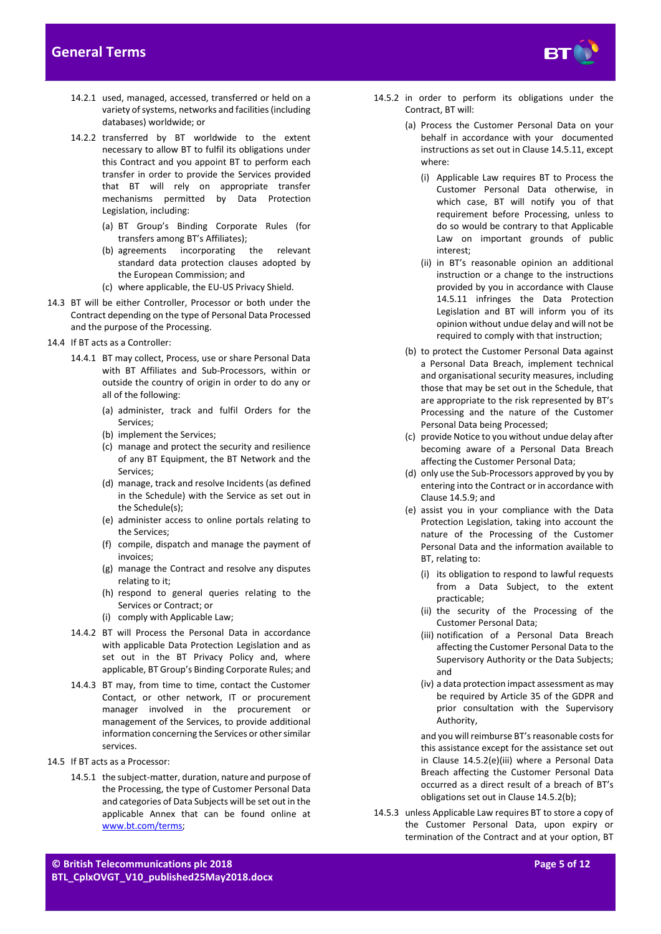

- 14.2.1 used, managed, accessed, transferred or held on a variety of systems, networks and facilities (including databases) worldwide; or
- 14.2.2 transferred by BT worldwide to the extent necessary to allow BT to fulfil its obligations under this Contract and you appoint BT to perform each transfer in order to provide the Services provided that BT will rely on appropriate transfer mechanisms permitted by Data Protection Legislation, including:
	- (a) BT Group's Binding Corporate Rules (for transfers among BT's Affiliates);
	- (b) agreements incorporating the relevant standard data protection clauses adopted by the European Commission; and
	- (c) where applicable, the EU-US Privacy Shield.
- 14.3 BT will be either Controller, Processor or both under the Contract depending on the type of Personal Data Processed and the purpose of the Processing.
- 14.4 If BT acts as a Controller:
	- 14.4.1 BT may collect, Process, use or share Personal Data with BT Affiliates and Sub-Processors, within or outside the country of origin in order to do any or all of the following:
		- (a) administer, track and fulfil Orders for the Services;
		- (b) implement the Services;
		- (c) manage and protect the security and resilience of any BT Equipment, the BT Network and the Services;
		- (d) manage, track and resolve Incidents (as defined in the Schedule) with the Service as set out in the Schedule(s);
		- (e) administer access to online portals relating to the Services;
		- (f) compile, dispatch and manage the payment of invoices;
		- (g) manage the Contract and resolve any disputes relating to it;
		- (h) respond to general queries relating to the Services or Contract; or
		- (i) comply with Applicable Law;
	- 14.4.2 BT will Process the Personal Data in accordance with applicable Data Protection Legislation and as set out in the BT Privacy Policy and, where applicable, BT Group's Binding Corporate Rules; and
	- 14.4.3 BT may, from time to time, contact the Customer Contact, or other network, IT or procurement manager involved in the procurement or management of the Services, to provide additional information concerning the Services or other similar services.
- 14.5 If BT acts as a Processor:
	- 14.5.1 the subject-matter, duration, nature and purpose of the Processing, the type of Customer Personal Data and categories of Data Subjects will be set out in the applicable Annex that can be found online at [www.bt.com/terms;](http://www.bt.com/terms)
- 14.5.2 in order to perform its obligations under the Contract, BT will:
	- (a) Process the Customer Personal Data on your behalf in accordance with your documented instructions as set out in Clause 14.5.11, except where:
		- (i) Applicable Law requires BT to Process the Customer Personal Data otherwise, in which case, BT will notify you of that requirement before Processing, unless to do so would be contrary to that Applicable Law on important grounds of public interest;
		- (ii) in BT's reasonable opinion an additional instruction or a change to the instructions provided by you in accordance with Clause 14.5.11 infringes the Data Protection Legislation and BT will inform you of its opinion without undue delay and will not be required to comply with that instruction;
	- (b) to protect the Customer Personal Data against a Personal Data Breach, implement technical and organisational security measures, including those that may be set out in the Schedule, that are appropriate to the risk represented by BT's Processing and the nature of the Customer Personal Data being Processed;
	- (c) provide Notice to you without undue delay after becoming aware of a Personal Data Breach affecting the Customer Personal Data;
	- (d) only use the Sub-Processors approved by you by entering into the Contract or in accordance with Claus[e 14.5.9;](#page-5-0) and
	- (e) assist you in your compliance with the Data Protection Legislation, taking into account the nature of the Processing of the Customer Personal Data and the information available to BT, relating to:
		- (i) its obligation to respond to lawful requests from a Data Subject, to the extent practicable;
		- (ii) the security of the Processing of the Customer Personal Data;
		- (iii) notification of a Personal Data Breach affecting the Customer Personal Data to the Supervisory Authority or the Data Subjects; and
		- (iv) a data protection impact assessment as may be required by Article 35 of the GDPR and prior consultation with the Supervisory Authority,

and you will reimburse BT's reasonable costs for this assistance except for the assistance set out in Clause 14.5.2(e)(iii) where a Personal Data Breach affecting the Customer Personal Data occurred as a direct result of a breach of BT's obligations set out in Clause 14.5.2(b);

14.5.3 unless Applicable Law requires BT to store a copy of the Customer Personal Data, upon expiry or termination of the Contract and at your option, BT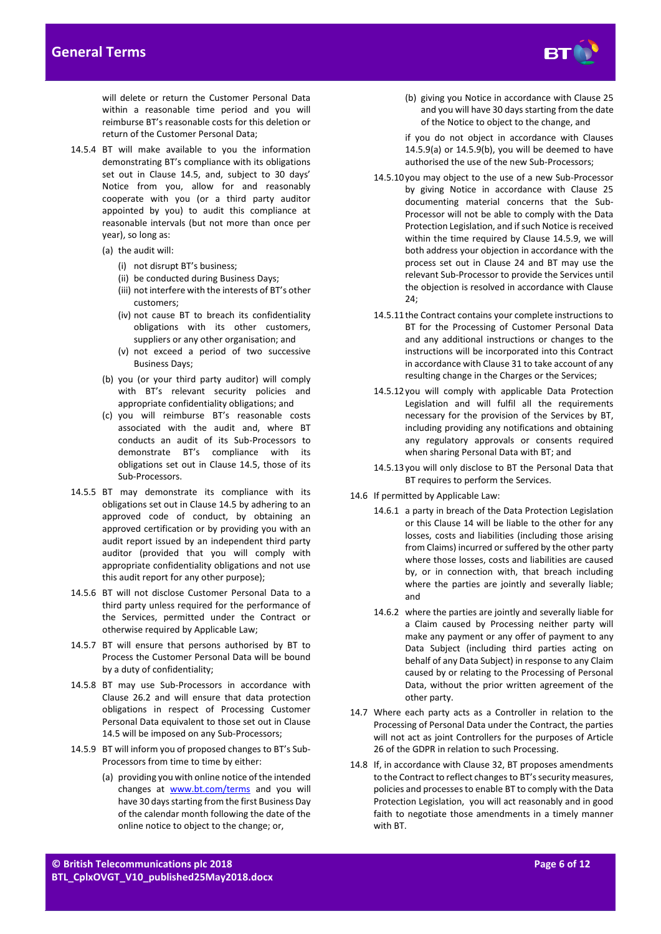

will delete or return the Customer Personal Data within a reasonable time period and you will reimburse BT's reasonable costs for this deletion or return of the Customer Personal Data;

- 14.5.4 BT will make available to you the information demonstrating BT's compliance with its obligations set out in Clause 14.5, and, subject to 30 days' Notice from you, allow for and reasonably cooperate with you (or a third party auditor appointed by you) to audit this compliance at reasonable intervals (but not more than once per year), so long as:
	- (a) the audit will:
		- (i) not disrupt BT's business;
		- (ii) be conducted during Business Days;
		- (iii) not interfere with the interests of BT's other customers;
		- (iv) not cause BT to breach its confidentiality obligations with its other customers, suppliers or any other organisation; and
		- (v) not exceed a period of two successive Business Days;
	- (b) you (or your third party auditor) will comply with BT's relevant security policies and appropriate confidentiality obligations; and
	- (c) you will reimburse BT's reasonable costs associated with the audit and, where BT conducts an audit of its Sub-Processors to demonstrate BT's compliance with its obligations set out in Clause 14.5, those of its Sub-Processors.
- 14.5.5 BT may demonstrate its compliance with its obligations set out in Clause 14.5 by adhering to an approved code of conduct, by obtaining an approved certification or by providing you with an audit report issued by an independent third party auditor (provided that you will comply with appropriate confidentiality obligations and not use this audit report for any other purpose);
- 14.5.6 BT will not disclose Customer Personal Data to a third party unless required for the performance of the Services, permitted under the Contract or otherwise required by Applicable Law;
- 14.5.7 BT will ensure that persons authorised by BT to Process the Customer Personal Data will be bound by a duty of confidentiality;
- 14.5.8 BT may use Sub-Processors in accordance with Clause 26.2 and will ensure that data protection obligations in respect of Processing Customer Personal Data equivalent to those set out in Clause 14.5 will be imposed on any Sub-Processors;
- <span id="page-5-0"></span>14.5.9 BT will inform you of proposed changes to BT's Sub-Processors from time to time by either:
	- (a) providing you with online notice of the intended changes at [www.bt.com/terms](http://www.bt.com/terms) and you will have 30 days starting from the first Business Day of the calendar month following the date of the online notice to object to the change; or,

(b) giving you Notice in accordance with Clause 25 and you will have 30 days starting from the date of the Notice to object to the change, and

if you do not object in accordance with Clauses 14.5.9(a) or 14.5.9(b), you will be deemed to have authorised the use of the new Sub-Processors;

- 14.5.10you may object to the use of a new Sub-Processor by giving Notice in accordance with Clause 25 documenting material concerns that the Sub-Processor will not be able to comply with the Data Protection Legislation, and if such Notice is received within the time required by Clause 14.5.9, we will both address your objection in accordance with the process set out in Clause 24 and BT may use the relevant Sub-Processor to provide the Services until the objection is resolved in accordance with Clause 24;
- 14.5.11the Contract contains your complete instructions to BT for the Processing of Customer Personal Data and any additional instructions or changes to the instructions will be incorporated into this Contract in accordance with Clause 31 to take account of any resulting change in the Charges or the Services;
- 14.5.12you will comply with applicable Data Protection Legislation and will fulfil all the requirements necessary for the provision of the Services by BT, including providing any notifications and obtaining any regulatory approvals or consents required when sharing Personal Data with BT; and
- 14.5.13you will only disclose to BT the Personal Data that BT requires to perform the Services.
- 14.6 If permitted by Applicable Law:
	- 14.6.1 a party in breach of the Data Protection Legislation or this Clause 14 will be liable to the other for any losses, costs and liabilities (including those arising from Claims) incurred or suffered by the other party where those losses, costs and liabilities are caused by, or in connection with, that breach including where the parties are jointly and severally liable; and
	- 14.6.2 where the parties are jointly and severally liable for a Claim caused by Processing neither party will make any payment or any offer of payment to any Data Subject (including third parties acting on behalf of any Data Subject) in response to any Claim caused by or relating to the Processing of Personal Data, without the prior written agreement of the other party.
- 14.7 Where each party acts as a Controller in relation to the Processing of Personal Data under the Contract, the parties will not act as joint Controllers for the purposes of Article 26 of the GDPR in relation to such Processing.
- 14.8 If, in accordance with Clause 32, BT proposes amendments to the Contract to reflect changes to BT's security measures, policies and processes to enable BT to comply with the Data Protection Legislation, you will act reasonably and in good faith to negotiate those amendments in a timely manner with BT.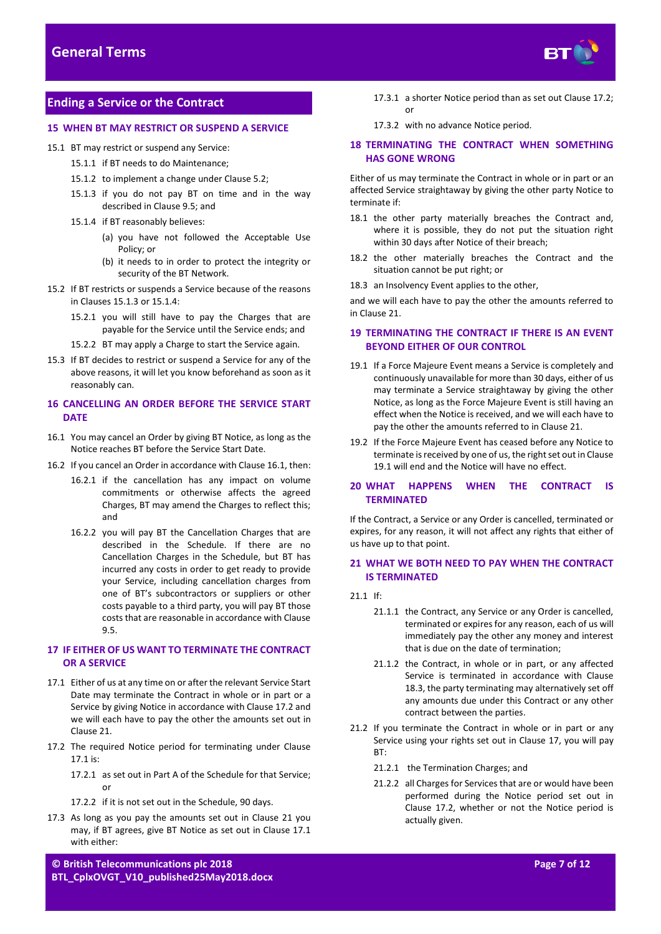

# <span id="page-6-0"></span>**Ending a Service or the Contract**

# **15 WHEN BT MAY RESTRICT OR SUSPEND A SERVICE**

- <span id="page-6-2"></span><span id="page-6-1"></span>15.1 BT may restrict or suspend any Service:
	- 15.1.1 if BT needs to do Maintenance;
	- 15.1.2 to implement a change under Claus[e 5.2;](#page-1-2)
	- 15.1.3 if you do not pay BT on time and in the way described in Claus[e 9.5;](#page-2-1) and
	- 15.1.4 if BT reasonably believes:
		- (a) you have not followed the Acceptable Use Policy; or
		- (b) it needs to in order to protect the integrity or security of the BT Network.
- <span id="page-6-3"></span>15.2 If BT restricts or suspends a Service because of the reasons in Clauses [15.1.3](#page-6-2) or [15.1.4:](#page-6-3)
	- 15.2.1 you will still have to pay the Charges that are payable for the Service until the Service ends; and
	- 15.2.2 BT may apply a Charge to start the Service again.
- 15.3 If BT decides to restrict or suspend a Service for any of the above reasons, it will let you know beforehand as soon as it reasonably can.

# <span id="page-6-11"></span>**16 CANCELLING AN ORDER BEFORE THE SERVICE START DATE**

- <span id="page-6-4"></span>16.1 You may cancel an Order by giving BT Notice, as long as the Notice reaches BT before the Service Start Date.
- 16.2 If you cancel an Order in accordance with Claus[e 16.1,](#page-6-4) then:
	- 16.2.1 if the cancellation has any impact on volume commitments or otherwise affects the agreed Charges, BT may amend the Charges to reflect this; and
	- 16.2.2 you will pay BT the Cancellation Charges that are described in the Schedule. If there are no Cancellation Charges in the Schedule, but BT has incurred any costs in order to get ready to provide your Service, including cancellation charges from one of BT's subcontractors or suppliers or other costs payable to a third party, you will pay BT those costs that are reasonable in accordance with Clause [9.5.](#page-2-1)

# <span id="page-6-10"></span>**17 IF EITHER OF US WANT TO TERMINATE THE CONTRACT OR A SERVICE**

- <span id="page-6-7"></span>17.1 Either of us at any time on or after the relevant Service Start Date may terminate the Contract in whole or in part or a Service by giving Notice in accordance with Claus[e 17.2](#page-6-5) and we will each have to pay the other the amounts set out in Claus[e 21.](#page-6-6)
- <span id="page-6-5"></span>17.2 The required Notice period for terminating under Clause [17.1](#page-6-7) is:
	- 17.2.1 as set out in Part A of the Schedule for that Service; or
	- 17.2.2 if it is not set out in the Schedule, 90 days.
- 17.3 As long as you pay the amounts set out in Clause [21](#page-6-6) you may, if BT agrees, give BT Notice as set out in Clause [17.1](#page-6-7) with either:
- 17.3.1 a shorter Notice period than as set out Claus[e 17.2;](#page-6-5)  or
- 17.3.2 with no advance Notice period.

### **18 TERMINATING THE CONTRACT WHEN SOMETHING HAS GONE WRONG**

Either of us may terminate the Contract in whole or in part or an affected Service straightaway by giving the other party Notice to terminate if:

- 18.1 the other party materially breaches the Contract and, where it is possible, they do not put the situation right within 30 days after Notice of their breach;
- 18.2 the other materially breaches the Contract and the situation cannot be put right; or
- <span id="page-6-9"></span>18.3 an Insolvency Event applies to the other,

and we will each have to pay the other the amounts referred to in Claus[e 21.](#page-6-6)

# **19 TERMINATING THE CONTRACT IF THERE IS AN EVENT BEYOND EITHER OF OUR CONTROL**

- <span id="page-6-8"></span>19.1 If a Force Majeure Event means a Service is completely and continuously unavailable for more than 30 days, either of us may terminate a Service straightaway by giving the other Notice, as long as the Force Majeure Event is still having an effect when the Notice is received, and we will each have to pay the other the amounts referred to in Claus[e 21.](#page-6-6)
- 19.2 If the Force Majeure Event has ceased before any Notice to terminate is received by one of us, the right set out in Clause [19.1](#page-6-8) will end and the Notice will have no effect.

## **20 WHAT HAPPENS WHEN THE CONTRACT IS TERMINATED**

If the Contract, a Service or any Order is cancelled, terminated or expires, for any reason, it will not affect any rights that either of us have up to that point.

# <span id="page-6-6"></span>**21 WHAT WE BOTH NEED TO PAY WHEN THE CONTRACT IS TERMINATED**

21.1 If:

- 21.1.1 the Contract, any Service or any Order is cancelled, terminated or expires for any reason, each of us will immediately pay the other any money and interest that is due on the date of termination;
- 21.1.2 the Contract, in whole or in part, or any affected Service is terminated in accordance with Clause [18.3,](#page-6-9) the party terminating may alternatively set off any amounts due under this Contract or any other contract between the parties.
- 21.2 If you terminate the Contract in whole or in part or any Service using your rights set out in Clause [17,](#page-6-10) you will pay BT:
	- 21.2.1 the Termination Charges; and
	- 21.2.2 all Charges for Services that are or would have been performed during the Notice period set out in Clause [17.2,](#page-6-5) whether or not the Notice period is actually given.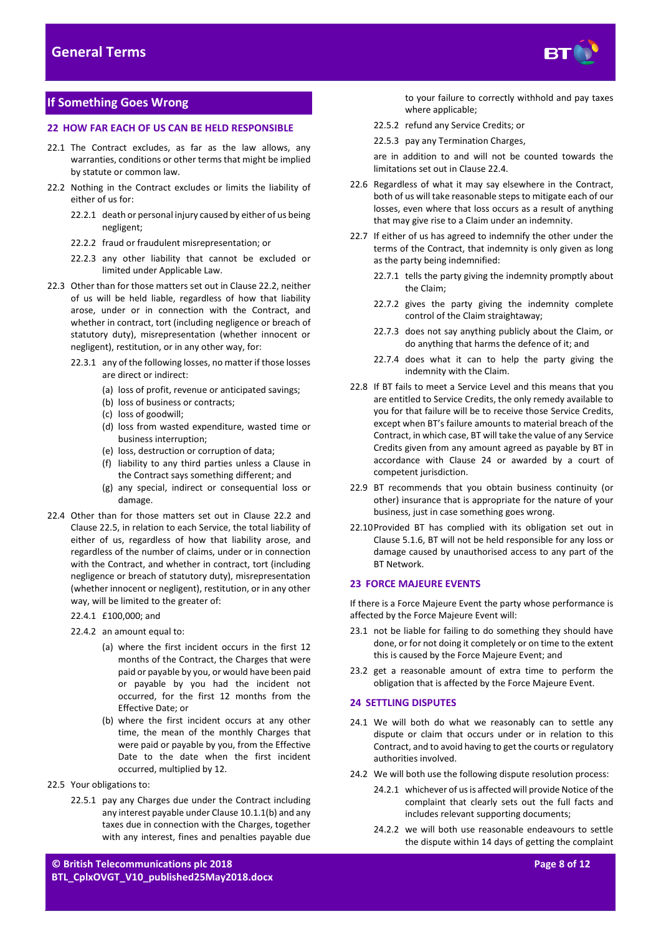

# <span id="page-7-0"></span>**If Something Goes Wrong**

## **22 HOW FAR EACH OF US CAN BE HELD RESPONSIBLE**

- 22.1 The Contract excludes, as far as the law allows, any warranties, conditions or other terms that might be implied by statute or common law.
- <span id="page-7-4"></span>22.2 Nothing in the Contract excludes or limits the liability of either of us for:
	- 22.2.1 death or personal injury caused by either of us being negligent;
	- 22.2.2 fraud or fraudulent misrepresentation; or
	- 22.2.3 any other liability that cannot be excluded or limited under Applicable Law.
- 22.3 Other than for those matters set out in Claus[e 22.2,](#page-7-4) neither of us will be held liable, regardless of how that liability arose, under or in connection with the Contract, and whether in contract, tort (including negligence or breach of statutory duty), misrepresentation (whether innocent or negligent), restitution, or in any other way, for:
	- 22.3.1 any of the following losses, no matter if those losses are direct or indirect:
		- (a) loss of profit, revenue or anticipated savings;
		- (b) loss of business or contracts;
		- (c) loss of goodwill;
		- (d) loss from wasted expenditure, wasted time or business interruption;
		- (e) loss, destruction or corruption of data;
		- (f) liability to any third parties unless a Clause in the Contract says something different; and
		- (g) any special, indirect or consequential loss or damage.
- <span id="page-7-6"></span>22.4 Other than for those matters set out in Clause [22.2](#page-7-4) and Clause [22.5,](#page-7-5) in relation to each Service, the total liability of either of us, regardless of how that liability arose, and regardless of the number of claims, under or in connection with the Contract, and whether in contract, tort (including negligence or breach of statutory duty), misrepresentation (whether innocent or negligent), restitution, or in any other way, will be limited to the greater of:
	- 22.4.1 £100,000; and
	- 22.4.2 an amount equal to:
		- (a) where the first incident occurs in the first 12 months of the Contract, the Charges that were paid or payable by you, or would have been paid or payable by you had the incident not occurred, for the first 12 months from the Effective Date; or
		- (b) where the first incident occurs at any other time, the mean of the monthly Charges that were paid or payable by you, from the Effective Date to the date when the first incident occurred, multiplied by 12.
- <span id="page-7-5"></span>22.5 Your obligations to:
	- 22.5.1 pay any Charges due under the Contract including any interest payable under Claus[e 10.1.1\(b\)](#page-2-3) and any taxes due in connection with the Charges, together with any interest, fines and penalties payable due

to your failure to correctly withhold and pay taxes where applicable;

- 22.5.2 refund any Service Credits; or
- 22.5.3 pay any Termination Charges,

are in addition to and will not be counted towards the limitations set out in Clause [22.4.](#page-7-6)

- 22.6 Regardless of what it may say elsewhere in the Contract, both of us will take reasonable steps to mitigate each of our losses, even where that loss occurs as a result of anything that may give rise to a Claim under an indemnity.
- <span id="page-7-3"></span>22.7 If either of us has agreed to indemnify the other under the terms of the Contract, that indemnity is only given as long as the party being indemnified:
	- 22.7.1 tells the party giving the indemnity promptly about the Claim;
	- 22.7.2 gives the party giving the indemnity complete control of the Claim straightaway;
	- 22.7.3 does not say anything publicly about the Claim, or do anything that harms the defence of it; and
	- 22.7.4 does what it can to help the party giving the indemnity with the Claim.
- 22.8 If BT fails to meet a Service Level and this means that you are entitled to Service Credits, the only remedy available to you for that failure will be to receive those Service Credits, except when BT's failure amounts to material breach of the Contract, in which case, BT will take the value of any Service Credits given from any amount agreed as payable by BT in accordance with Clause 24 or awarded by a court of competent jurisdiction.
- 22.9 BT recommends that you obtain business continuity (or other) insurance that is appropriate for the nature of your business, just in case something goes wrong.
- 22.10Provided BT has complied with its obligation set out in Claus[e 5.1.6,](#page-1-3) BT will not be held responsible for any loss or damage caused by unauthorised access to any part of the BT Network.

# <span id="page-7-1"></span>**23 FORCE MAJEURE EVENTS**

If there is a Force Majeure Event the party whose performance is affected by the Force Majeure Event will:

- 23.1 not be liable for failing to do something they should have done, or for not doing it completely or on time to the extent this is caused by the Force Majeure Event; and
- 23.2 get a reasonable amount of extra time to perform the obligation that is affected by the Force Majeure Event.

## <span id="page-7-2"></span>**24 SETTLING DISPUTES**

- 24.1 We will both do what we reasonably can to settle any dispute or claim that occurs under or in relation to this Contract, and to avoid having to get the courts or regulatory authorities involved.
- <span id="page-7-7"></span>24.2 We will both use the following dispute resolution process:
	- 24.2.1 whichever of us is affected will provide Notice of the complaint that clearly sets out the full facts and includes relevant supporting documents;
	- 24.2.2 we will both use reasonable endeavours to settle the dispute within 14 days of getting the complaint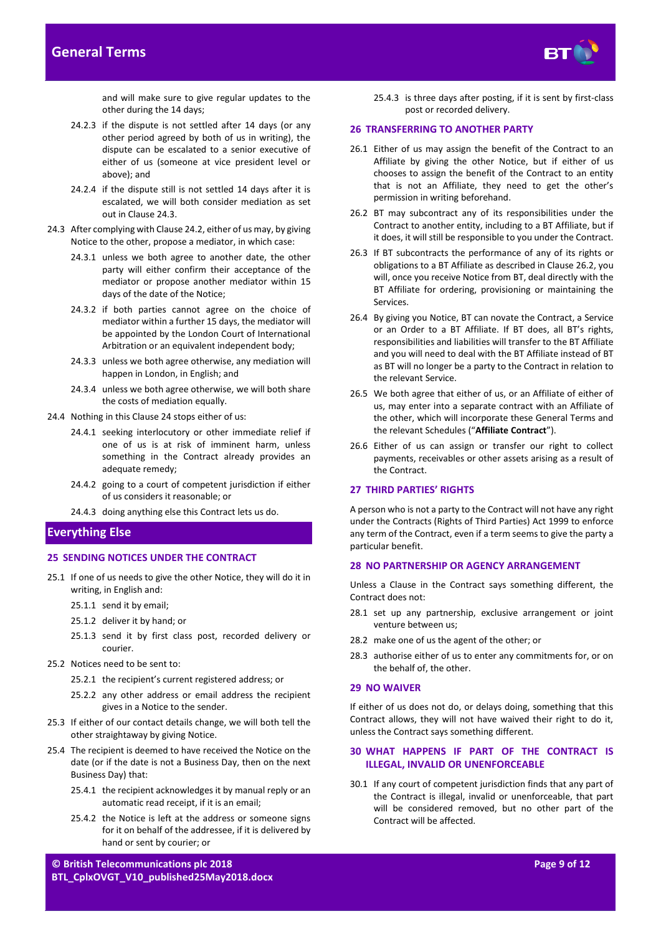# **General Terms**



and will make sure to give regular updates to the other during the 14 days;

- 24.2.3 if the dispute is not settled after 14 days (or any other period agreed by both of us in writing), the dispute can be escalated to a senior executive of either of us (someone at vice president level or above); and
- 24.2.4 if the dispute still is not settled 14 days after it is escalated, we will both consider mediation as set out in Claus[e 24.3.](#page-8-1)
- <span id="page-8-1"></span>24.3 After complying with Claus[e 24.2,](#page-7-7) either of us may, by giving Notice to the other, propose a mediator, in which case:
	- 24.3.1 unless we both agree to another date, the other party will either confirm their acceptance of the mediator or propose another mediator within 15 days of the date of the Notice;
	- 24.3.2 if both parties cannot agree on the choice of mediator within a further 15 days, the mediator will be appointed by the London Court of International Arbitration or an equivalent independent body;
	- 24.3.3 unless we both agree otherwise, any mediation will happen in London, in English; and
	- 24.3.4 unless we both agree otherwise, we will both share the costs of mediation equally.
- 24.4 Nothing in this Claus[e 24](#page-7-2) stops either of us:
	- 24.4.1 seeking interlocutory or other immediate relief if one of us is at risk of imminent harm, unless something in the Contract already provides an adequate remedy;
	- 24.4.2 going to a court of competent jurisdiction if either of us considers it reasonable; or

24.4.3 doing anything else this Contract lets us do.

#### <span id="page-8-0"></span>**Everything Else**

#### <span id="page-8-4"></span>**25 SENDING NOTICES UNDER THE CONTRACT**

- 25.1 If one of us needs to give the other Notice, they will do it in writing, in English and:
	- 25.1.1 send it by email;
	- 25.1.2 deliver it by hand; or
	- 25.1.3 send it by first class post, recorded delivery or courier.
- 25.2 Notices need to be sent to:
	- 25.2.1 the recipient's current registered address; or
	- 25.2.2 any other address or email address the recipient gives in a Notice to the sender.
- 25.3 If either of our contact details change, we will both tell the other straightaway by giving Notice.
- 25.4 The recipient is deemed to have received the Notice on the date (or if the date is not a Business Day, then on the next Business Day) that:
	- 25.4.1 the recipient acknowledges it by manual reply or an automatic read receipt, if it is an email;
	- 25.4.2 the Notice is left at the address or someone signs for it on behalf of the addressee, if it is delivered by hand or sent by courier; or

25.4.3 is three days after posting, if it is sent by first-class post or recorded delivery.

#### **26 TRANSFERRING TO ANOTHER PARTY**

- 26.1 Either of us may assign the benefit of the Contract to an Affiliate by giving the other Notice, but if either of us chooses to assign the benefit of the Contract to an entity that is not an Affiliate, they need to get the other's permission in writing beforehand.
- <span id="page-8-2"></span>26.2 BT may subcontract any of its responsibilities under the Contract to another entity, including to a BT Affiliate, but if it does, it will still be responsible to you under the Contract.
- 26.3 If BT subcontracts the performance of any of its rights or obligations to a BT Affiliate as described in Clause [26.2,](#page-8-2) you will, once you receive Notice from BT, deal directly with the BT Affiliate for ordering, provisioning or maintaining the Services.
- 26.4 By giving you Notice, BT can novate the Contract, a Service or an Order to a BT Affiliate. If BT does, all BT's rights, responsibilities and liabilities will transfer to the BT Affiliate and you will need to deal with the BT Affiliate instead of BT as BT will no longer be a party to the Contract in relation to the relevant Service.
- <span id="page-8-3"></span>26.5 We both agree that either of us, or an Affiliate of either of us, may enter into a separate contract with an Affiliate of the other, which will incorporate these General Terms and the relevant Schedules ("**Affiliate Contract**").
- 26.6 Either of us can assign or transfer our right to collect payments, receivables or other assets arising as a result of the Contract.

## **27 THIRD PARTIES' RIGHTS**

A person who is not a party to the Contract will not have any right under the Contracts (Rights of Third Parties) Act 1999 to enforce any term of the Contract, even if a term seems to give the party a particular benefit.

#### **28 NO PARTNERSHIP OR AGENCY ARRANGEMENT**

Unless a Clause in the Contract says something different, the Contract does not:

- 28.1 set up any partnership, exclusive arrangement or joint venture between us;
- 28.2 make one of us the agent of the other; or
- 28.3 authorise either of us to enter any commitments for, or on the behalf of, the other.

#### **29 NO WAIVER**

If either of us does not do, or delays doing, something that this Contract allows, they will not have waived their right to do it, unless the Contract says something different.

# **30 WHAT HAPPENS IF PART OF THE CONTRACT IS ILLEGAL, INVALID OR UNENFORCEABLE**

30.1 If any court of competent jurisdiction finds that any part of the Contract is illegal, invalid or unenforceable, that part will be considered removed, but no other part of the Contract will be affected.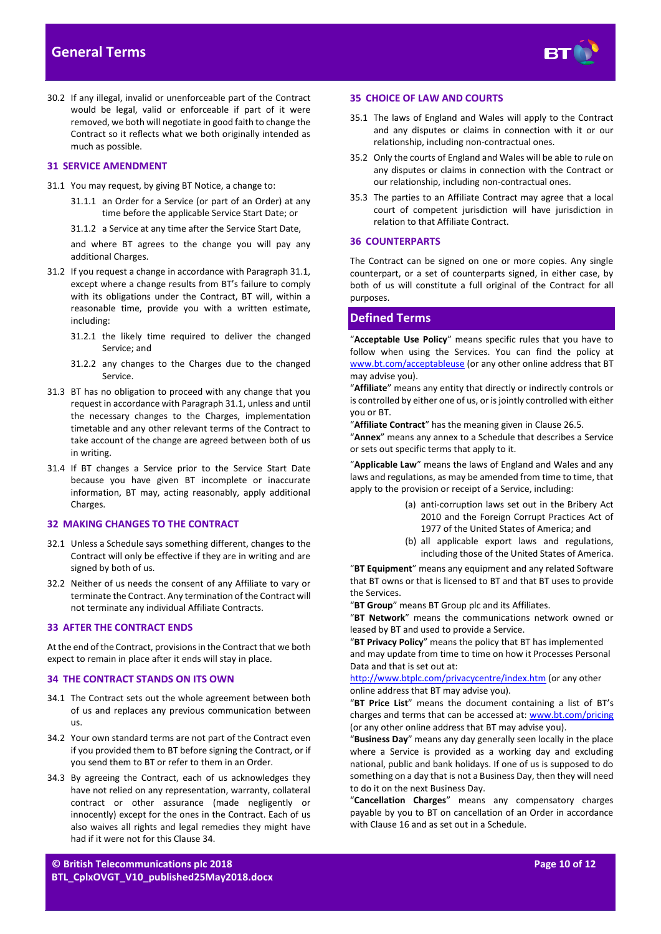

30.2 If any illegal, invalid or unenforceable part of the Contract would be legal, valid or enforceable if part of it were removed, we both will negotiate in good faith to change the Contract so it reflects what we both originally intended as much as possible.

#### **31 SERVICE AMENDMENT**

- <span id="page-9-1"></span>31.1 You may request, by giving BT Notice, a change to:
	- 31.1.1 an Order for a Service (or part of an Order) at any time before the applicable Service Start Date; or
	- 31.1.2 a Service at any time after the Service Start Date,

and where BT agrees to the change you will pay any additional Charges.

- 31.2 If you request a change in accordance with Paragraph 31.1, except where a change results from BT's failure to comply with its obligations under the Contract, BT will, within a reasonable time, provide you with a written estimate, including:
	- 31.2.1 the likely time required to deliver the changed Service; and
	- 31.2.2 any changes to the Charges due to the changed Service.
- 31.3 BT has no obligation to proceed with any change that you request in accordance with Paragrap[h 31.1,](#page-9-1) unless and until the necessary changes to the Charges, implementation timetable and any other relevant terms of the Contract to take account of the change are agreed between both of us in writing.
- 31.4 If BT changes a Service prior to the Service Start Date because you have given BT incomplete or inaccurate information, BT may, acting reasonably, apply additional Charges.

#### **32 MAKING CHANGES TO THE CONTRACT**

- 32.1 Unless a Schedule says something different, changes to the Contract will only be effective if they are in writing and are signed by both of us.
- 32.2 Neither of us needs the consent of any Affiliate to vary or terminate the Contract. Any termination of the Contract will not terminate any individual Affiliate Contracts.

#### **33 AFTER THE CONTRACT ENDS**

At the end of the Contract, provisions in the Contract that we both expect to remain in place after it ends will stay in place.

#### <span id="page-9-2"></span>**34 THE CONTRACT STANDS ON ITS OWN**

- 34.1 The Contract sets out the whole agreement between both of us and replaces any previous communication between us.
- 34.2 Your own standard terms are not part of the Contract even if you provided them to BT before signing the Contract, or if you send them to BT or refer to them in an Order.
- 34.3 By agreeing the Contract, each of us acknowledges they have not relied on any representation, warranty, collateral contract or other assurance (made negligently or innocently) except for the ones in the Contract. Each of us also waives all rights and legal remedies they might have had if it were not for this Claus[e 34.](#page-9-2)

#### **35 CHOICE OF LAW AND COURTS**

- 35.1 The laws of England and Wales will apply to the Contract and any disputes or claims in connection with it or our relationship, including non-contractual ones.
- 35.2 Only the courts of England and Wales will be able to rule on any disputes or claims in connection with the Contract or our relationship, including non-contractual ones.
- 35.3 The parties to an Affiliate Contract may agree that a local court of competent jurisdiction will have jurisdiction in relation to that Affiliate Contract.

#### **36 COUNTERPARTS**

The Contract can be signed on one or more copies. Any single counterpart, or a set of counterparts signed, in either case, by both of us will constitute a full original of the Contract for all purposes.

# <span id="page-9-0"></span>**Defined Terms**

"**Acceptable Use Policy**" means specific rules that you have to follow when using the Services. You can find the policy at [www.bt.com/acceptableuse](http://www.bt.com/acceptableuse) (or any other online address that BT may advise you).

"**Affiliate**" means any entity that directly or indirectly controls or is controlled by either one of us, or is jointly controlled with either you or BT.

"**Affiliate Contract**" has the meaning given in Clause [26.5.](#page-8-3)

"**Annex**" means any annex to a Schedule that describes a Service or sets out specific terms that apply to it.

"**Applicable Law**" means the laws of England and Wales and any laws and regulations, as may be amended from time to time, that apply to the provision or receipt of a Service, including:

- (a) anti-corruption laws set out in the Bribery Act 2010 and the Foreign Corrupt Practices Act of 1977 of the United States of America; and
- (b) all applicable export laws and regulations, including those of the United States of America.

"**BT Equipment**" means any equipment and any related Software that BT owns or that is licensed to BT and that BT uses to provide the Services.

"**BT Group**" means BT Group plc and its Affiliates.

"**BT Network**" means the communications network owned or leased by BT and used to provide a Service.

"**BT Privacy Policy**" means the policy that BT has implemented and may update from time to time on how it Processes Personal Data and that is set out at:

<http://www.btplc.com/privacycentre/index.htm> (or any other online address that BT may advise you).

"**BT Price List**" means the document containing a list of BT's charges and terms that can be accessed at: [www.bt.com/pricing](http://www.bt.com/pricing) (or any other online address that BT may advise you).

"**Business Day**" means any day generally seen locally in the place where a Service is provided as a working day and excluding national, public and bank holidays. If one of us is supposed to do something on a day that is not a Business Day, then they will need to do it on the next Business Day.

"**Cancellation Charges**" means any compensatory charges payable by you to BT on cancellation of an Order in accordance with Claus[e 16](#page-6-11) and as set out in a Schedule.

**© British Telecommunications plc 2018 BTL\_CplxOVGT\_V10\_published25May2018.docx**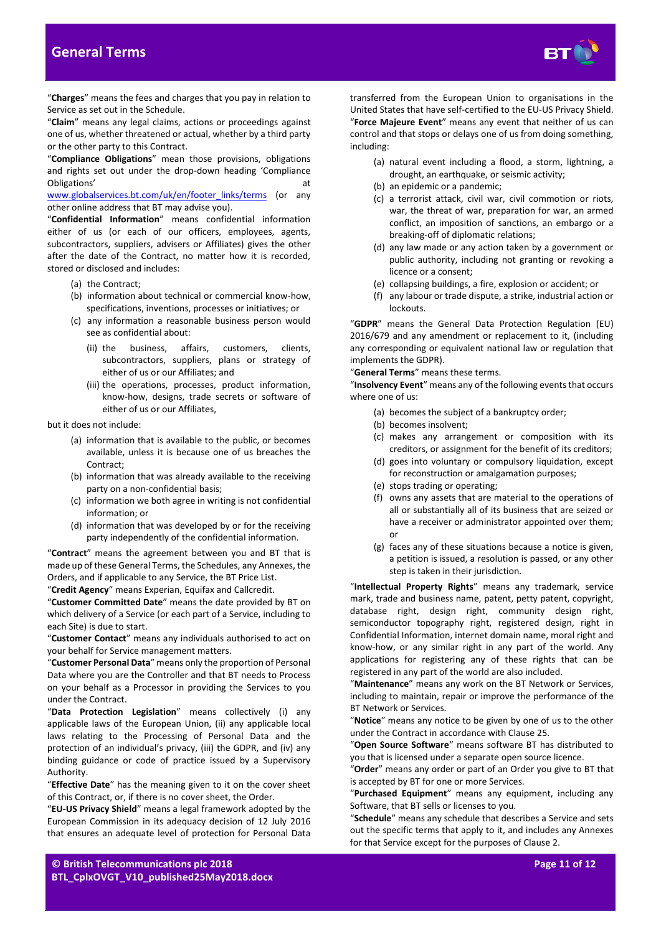

"**Charges**" means the fees and charges that you pay in relation to Service as set out in the Schedule.

"**Claim**" means any legal claims, actions or proceedings against one of us, whether threatened or actual, whether by a third party or the other party to this Contract.

"**Compliance Obligations**" mean those provisions, obligations and rights set out under the drop-down heading 'Compliance Obligations' at a structure of the structure of the structure of the structure of the structure of the structure of the structure of the structure of the structure of the structure of the structure of the structure of the

[www.globalservices.bt.com/uk/en/footer\\_links/terms](http://www.globalservices.bt.com/uk/en/footer_links/terms) (or any other online address that BT may advise you).

"**Confidential Information**" means confidential information either of us (or each of our officers, employees, agents, subcontractors, suppliers, advisers or Affiliates) gives the other after the date of the Contract, no matter how it is recorded, stored or disclosed and includes:

- (a) the Contract;
- (b) information about technical or commercial know-how, specifications, inventions, processes or initiatives; or
- (c) any information a reasonable business person would see as confidential about:
	- (ii) the business, affairs, customers, clients, subcontractors, suppliers, plans or strategy of either of us or our Affiliates; and
	- (iii) the operations, processes, product information, know-how, designs, trade secrets or software of either of us or our Affiliates,

but it does not include:

- (a) information that is available to the public, or becomes available, unless it is because one of us breaches the Contract;
- (b) information that was already available to the receiving party on a non-confidential basis;
- (c) information we both agree in writing is not confidential information; or
- (d) information that was developed by or for the receiving party independently of the confidential information.

"**Contract**" means the agreement between you and BT that is made up of these General Terms, the Schedules, any Annexes, the Orders, and if applicable to any Service, the BT Price List.

"**Credit Agency**" means Experian, Equifax and Callcredit.

"**Customer Committed Date**" means the date provided by BT on which delivery of a Service (or each part of a Service, including to each Site) is due to start.

"**Customer Contact**" means any individuals authorised to act on your behalf for Service management matters.

"**Customer Personal Data**" means only the proportion of Personal Data where you are the Controller and that BT needs to Process on your behalf as a Processor in providing the Services to you under the Contract.

"**Data Protection Legislation**" means collectively (i) any applicable laws of the European Union, (ii) any applicable local laws relating to the Processing of Personal Data and the protection of an individual's privacy, (iii) the GDPR, and (iv) any binding guidance or code of practice issued by a Supervisory Authority.

"**Effective Date**" has the meaning given to it on the cover sheet of this Contract, or, if there is no cover sheet, the Order.

"**EU-US Privacy Shield**" means a legal framework adopted by the European Commission in its adequacy decision of 12 July 2016 that ensures an adequate level of protection for Personal Data

transferred from the European Union to organisations in the United States that have self-certified to the EU-US Privacy Shield. "**Force Majeure Event**" means any event that neither of us can control and that stops or delays one of us from doing something, including:

- (a) natural event including a flood, a storm, lightning, a drought, an earthquake, or seismic activity;
- (b) an epidemic or a pandemic;
- (c) a terrorist attack, civil war, civil commotion or riots, war, the threat of war, preparation for war, an armed conflict, an imposition of sanctions, an embargo or a breaking-off of diplomatic relations;
- (d) any law made or any action taken by a government or public authority, including not granting or revoking a licence or a consent;
- (e) collapsing buildings, a fire, explosion or accident; or
- (f) any labour or trade dispute, a strike, industrial action or lockouts.

"**GDPR**" means the General Data Protection Regulation (EU) 2016/679 and any amendment or replacement to it, (including any corresponding or equivalent national law or regulation that implements the GDPR).

"**General Terms**" means these terms.

"**Insolvency Event**" means any of the following events that occurs where one of us:

- (a) becomes the subject of a bankruptcy order;
- (b) becomes insolvent;
- (c) makes any arrangement or composition with its creditors, or assignment for the benefit of its creditors;
- (d) goes into voluntary or compulsory liquidation, except for reconstruction or amalgamation purposes;
- (e) stops trading or operating;
- (f) owns any assets that are material to the operations of all or substantially all of its business that are seized or have a receiver or administrator appointed over them; or
- (g) faces any of these situations because a notice is given, a petition is issued, a resolution is passed, or any other step is taken in their jurisdiction.

"**Intellectual Property Rights**" means any trademark, service mark, trade and business name, patent, petty patent, copyright, database right, design right, community design right, semiconductor topography right, registered design, right in Confidential Information, internet domain name, moral right and know-how, or any similar right in any part of the world. Any applications for registering any of these rights that can be registered in any part of the world are also included.

"**Maintenance**" means any work on the BT Network or Services, including to maintain, repair or improve the performance of the BT Network or Services.

"**Notice**" means any notice to be given by one of us to the other under the Contract in accordance with Clause [25.](#page-8-4)

"**Open Source Software**" means software BT has distributed to you that is licensed under a separate open source licence.

"**Order**" means any order or part of an Order you give to BT that is accepted by BT for one or more Services.

"**Purchased Equipment**" means any equipment, including any Software, that BT sells or licenses to you.

"**Schedule**" means any schedule that describes a Service and sets out the specific terms that apply to it, and includes any Annexes for that Service except for the purposes of Clause [2.](#page-1-4)